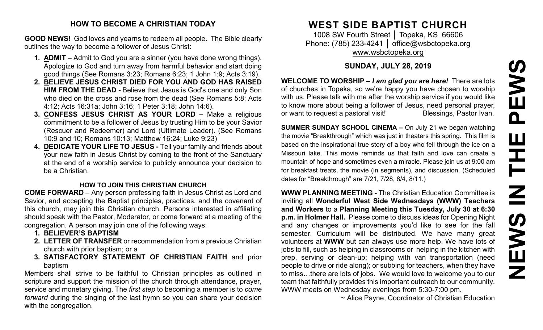#### **HOW TO BECOME A CHRISTIAN TODAY**

**GOOD NEWS!** God loves and yearns to redeem all people. The Bible clearly outlines the way to become a follower of Jesus Christ:

- **1. ADMIT** Admit to God you are a sinner (you have done wrong things). Apologize to God and turn away from harmful behavior and start doing good things (See Romans 3:23; Romans 6:23; 1 John 1:9; Acts 3:19).
- **2. BELIEVE JESUS CHRIST DIED FOR YOU AND GOD HAS RAISED HIM FROM THE DEAD -** Believe that Jesus is God's one and only Son who died on the cross and rose from the dead (See Romans 5:8; Acts 4:12; Acts 16:31a; John 3:16; 1 Peter 3:18; John 14:6).
- **3. CONFESS JESUS CHRIST AS YOUR LORD –** Make a religious commitment to be a follower of Jesus by trusting Him to be your Savior (Rescuer and Redeemer) and Lord (Ultimate Leader). (See Romans 10:9 and 10; Romans 10:13; Matthew 16:24; Luke 9:23)
- **4. DEDICATE YOUR LIFE TO JESUS -** Tell your family and friends about your new faith in Jesus Christ by coming to the front of the Sanctuary at the end of a worship service to publicly announce your decision to be a Christian.

#### **HOW TO JOIN THIS CHRISTIAN CHURCH**

**COME FORWARD** – Any person professing faith in Jesus Christ as Lord and Savior, and accepting the Baptist principles, practices, and the covenant of this church, may join this Christian church. Persons interested in affiliating should speak with the Pastor, Moderator, or come forward at a meeting of the congregation. A person may join one of the following ways:

- **1. BELIEVER'S BAPTISM**
- **2. LETTER OF TRANSFER** or recommendation from a previous Christian church with prior baptism; or a
- **3. SATISFACTORY STATEMENT OF CHRISTIAN FAITH** and prior baptism

Members shall strive to be faithful to Christian principles as outlined in scripture and support the mission of the church through attendance, prayer, service and monetary giving. The *first step* to becoming a member is to *come forward* during the singing of the last hymn so you can share your decision with the congregation.

# **WEST SIDE BAPTIST CHURCH**

1008 SW Fourth Street | Topeka, KS 66606 Phone: (785) 233-4241 │ [office@wsbctopeka.org](mailto:office@wsbctopeka.org) [www.wsbctopeka.org](http://www.wsbctopeka.org/)

### **SUNDAY, JULY 28, 2019**

**WELCOME TO WORSHIP –** *I am glad you are here!* There are lots of churches in Topeka, so we're happy you have chosen to worship with us. Please talk with me after the worship service if you would like to know more about being a follower of Jesus, need personal prayer, or want to request a pastoral visit!<br>
Blessings, Pastor Ivan.

**SUMMER SUNDAY SCHOOL CINEMA –** On July 21 we began watching the movie "Breakthrough" which was just in theaters this spring. This film is based on the inspirational true story of a boy who fell through the ice on a Missouri lake. This movie reminds us that faith and love can create a mountain of hope and sometimes even a miracle. Please join us at 9:00 am for breakfast treats, the movie (in segments), and discussion. (Scheduled dates for "Breakthrough" are 7/21, 7/28, 8/4, 8/11.)

**WWW PLANNING MEETING -** The Christian Education Committee is inviting all **Wonderful West Side Wednesdays (WWW) Teachers and Workers** to a **Planning Meeting this Tuesday, July 30 at 6:30 p.m. in Holmer Hall.** Please come to discuss ideas for Opening Night and any changes or improvements you'd like to see for the fall semester. Curriculum will be distributed. We have many great volunteers at **WWW** but can always use more help. We have lots of jobs to fill, such as helping in classrooms or helping in the kitchen with prep, serving or clean-up; helping with van transportation (need people to drive or ride along); or subbing for teachers, when they have to miss…there are lots of jobs. We would love to welcome you to our team that faithfully provides this important outreach to our community. WWW meets on Wednesday evenings from 5:30-7:00 pm.

~ Alice Payne, Coordinator of Christian Education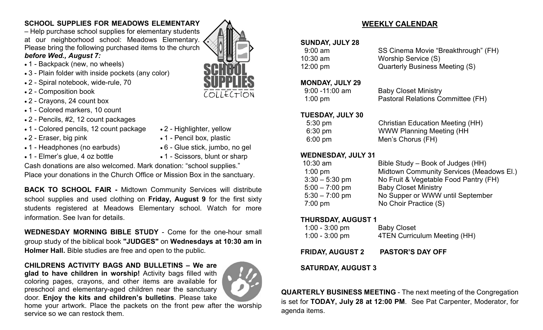## **SCHOOL SUPPLIES FOR MEADOWS ELEMENTARY**

– Help purchase school supplies for elementary students at our neighborhood school: Meadows Elementary. Please bring the following purchased items to the church *before Wed., August 7:*

#### • 1 - Backpack (new, no wheels)

- 3 Plain folder with inside pockets (any color)
- 2 Spiral notebook, wide-rule, 70
- 2 Composition book
- 2 Crayons, 24 count box
- 1 Colored markers, 10 count
- 2 Pencils, #2, 12 count packages
- 1 Colored pencils, 12 count package 2 Highlighter, yellow
- 
- 1 Headphones (no earbuds) 6 Glue stick, jumbo, no gel
- 
- 2 Eraser, big pink 1 Pencil box, plastic
	-
- 1 Elmer's glue, 4 oz bottle 1 Scissors, blunt or sharp

Cash donations are also welcomed. Mark donation: "school supplies."

Place your donations in the Church Office or Mission Box in the sanctuary.

**BACK TO SCHOOL FAIR -** Midtown Community Services will distribute school supplies and used clothing on **Friday, August 9** for the first sixty students registered at Meadows Elementary school. Watch for more information. See Ivan for details.

**WEDNESDAY MORNING BIBLE STUDY** - Come for the one-hour small group study of the biblical book **"JUDGES"** on **Wednesdays at 10:30 am in Holmer Hall.** Bible studies are free and open to the public.

#### **CHILDRENS ACTIVITY BAGS AND BULLETINS – We are glad to have children in worship!** Activity bags filled with coloring pages, crayons, and other items are available for preschool and elementary-aged children near the sanctuary door. **Enjoy the kits and children's bulletins**. Please take



home your artwork. Place the packets on the front pew after the worship service so we can restock them.

# **WEEKLY CALENDAR**

### **SUNDAY, JULY 28**

| $9:00$ am | SS Cinema Movie "Breakthrough" (FH) |
|-----------|-------------------------------------|
| 10:30 am  | Worship Service (S)                 |
| 12:00 pm  | Quarterly Business Meeting (S)      |

#### **MONDAY, JULY 29**

| $9:00 - 11:00$ am | <b>Baby Closet Ministry</b>       |
|-------------------|-----------------------------------|
| $1:00 \text{ pm}$ | Pastoral Relations Committee (FH) |

#### **TUESDAY, JULY 30**

| $5:30 \text{ pm}$ | <b>Christian Education Meeting (HH)</b> |
|-------------------|-----------------------------------------|
| $6:30 \text{ pm}$ | <b>WWW Planning Meeting (HH)</b>        |
| $6:00 \text{ pm}$ | Men's Chorus (FH)                       |

#### **WEDNESDAY, JULY 31**

| $10:30$ am       | Bible Study – Book of Judges (HH)        |
|------------------|------------------------------------------|
| $1:00$ pm        | Midtown Community Services (Meadows El.) |
| $3:30 - 5:30$ pm | No Fruit & Vegetable Food Pantry (FH)    |
| $5:00 - 7:00$ pm | <b>Baby Closet Ministry</b>              |
| $5:30 - 7:00$ pm | No Supper or WWW until September         |
| $7:00$ pm        | No Choir Practice (S)                    |
|                  |                                          |

### **THURSDAY, AUGUST 1**

| $1:00 - 3:00$ pm | <b>Baby Closet</b>           |
|------------------|------------------------------|
| 1:00 - 3:00 pm   | 4TEN Curriculum Meeting (HH) |

### **FRIDAY, AUGUST 2 PASTOR'S DAY OFF**

#### **SATURDAY, AUGUST 3**

**QUARTERLY BUSINESS MEETING** - The next meeting of the Congregation is set for **TODAY, July 28 at 12:00 PM**. See Pat Carpenter, Moderator, for agenda items.

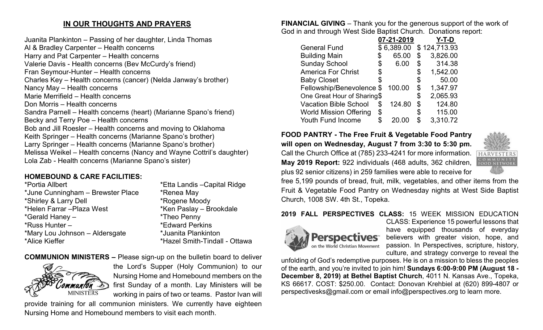## **IN OUR THOUGHTS AND PRAYERS**

Juanita Plankinton – Passing of her daughter, Linda Thomas Al & Bradley Carpenter – Health concerns Harry and Pat Carpenter – Health concerns Valerie Davis - Health concerns (Bev McCurdy's friend) Fran Seymour-Hunter – Health concerns Charles Key – Health concerns (cancer) (Nelda Janway's brother) Nancy May – Health concerns Marie Merrifield – Health concerns Don Morris – Health concerns Sandra Parnell – Health concerns (heart) (Marianne Spano's friend) Becky and Terry Poe – Health concerns Bob and Jill Roesler – Health concerns and moving to Oklahoma Keith Springer – Health concerns (Marianne Spano's brother) Larry Springer – Health concerns (Marianne Spano's brother) Melissa Weikel – Health concerns (Nancy and Wayne Cottril's daughter) Lola Zab - Health concerns (Marianne Spano's sister)

# **HOMEBOUND & CARE FACILITIES:**

| *Portia Allbert                   | *Etta Landis - Capital Ridge  |
|-----------------------------------|-------------------------------|
| *June Cunningham - Brewster Place | *Renea May                    |
| *Shirley & Larry Dell             | *Rogene Moody                 |
| *Helen Farrar - Plaza West        | *Ken Paslay - Brookdale       |
| *Gerald Haney -                   | *Theo Penny                   |
| *Russ Hunter -                    | <i>*</i> Edward Perkins       |
| *Mary Lou Johnson - Aldersgate    | *Juanita Plankinton           |
| *Alice Kieffer                    | *Hazel Smith-Tindall - Ottawa |

**COMMUNION MINISTERS –** Please sign-up on the bulletin board to deliver



the Lord's Supper (Holy Communion) to our Nursing Home and Homebound members on the first Sunday of a month. Lay Ministers will be working in pairs of two or teams. Pastor Ivan will

provide training for all communion ministers. We currently have eighteen Nursing Home and Homebound members to visit each month.

**FINANCIAL GIVING** – Thank you for the generous support of the work of God in and through West Side Baptist Church. Donations report:

|                               | 07-21-2019   | Y-T-D          |
|-------------------------------|--------------|----------------|
| <b>General Fund</b>           | \$6,389.00   | \$124,713.93   |
| <b>Building Main</b>          | \$<br>65.00  | \$<br>3,826.00 |
| <b>Sunday School</b>          | \$<br>6.00   | \$<br>314.38   |
| <b>America For Christ</b>     | \$           | \$<br>1,542.00 |
| <b>Baby Closet</b>            |              | \$<br>50.00    |
| Fellowship/Benevolence \$     | 100.00       | \$<br>1,347.97 |
| One Great Hour of Sharing\$   |              | \$<br>2,065.93 |
| <b>Vacation Bible School</b>  | \$<br>124.80 | \$<br>124.80   |
| <b>World Mission Offering</b> | \$           | \$<br>115.00   |
| Youth Fund Income             | \$<br>20.00  | \$<br>3,310.72 |

**FOOD PANTRY - The Free Fruit & Vegetable Food Pantry** 

**will open on Wednesday, August 7 from 3:30 to 5:30 pm.**  Call the Church Office at (785) 233-4241 for more information. **May 2019 Report:** 922 individuals (468 adults, 362 children, plus 92 senior citizens) in 259 families were able to receive for



free 5,199 pounds of bread, fruit, milk, vegetables, and other items from the Fruit & Vegetable Food Pantry on Wednesday nights at West Side Baptist Church, 1008 SW. 4th St., Topeka.

## **2019 FALL PERSPECTIVES CLASS:** 15 WEEK MISSION EDUCATION



CLASS: Experience 15 powerful lessons that have equipped thousands of everyday believers with greater vision, hope, and passion. In Perspectives, scripture, history, culture, and strategy converge to reveal the

unfolding of God's redemptive purposes. He is on a mission to bless the peoples of the earth, and you're invited to join him! **Sundays 6:00-9:00 PM (August 18 - December 8, 2019) at Bethel Baptist Church**, 4011 N. Kansas Ave., Topeka, KS 66617. COST: \$250.00. Contact: Donovan Krehbiel at (620) 899-4807 or perspectivesks@gmail.com or email info@perspectives.org to learn more.